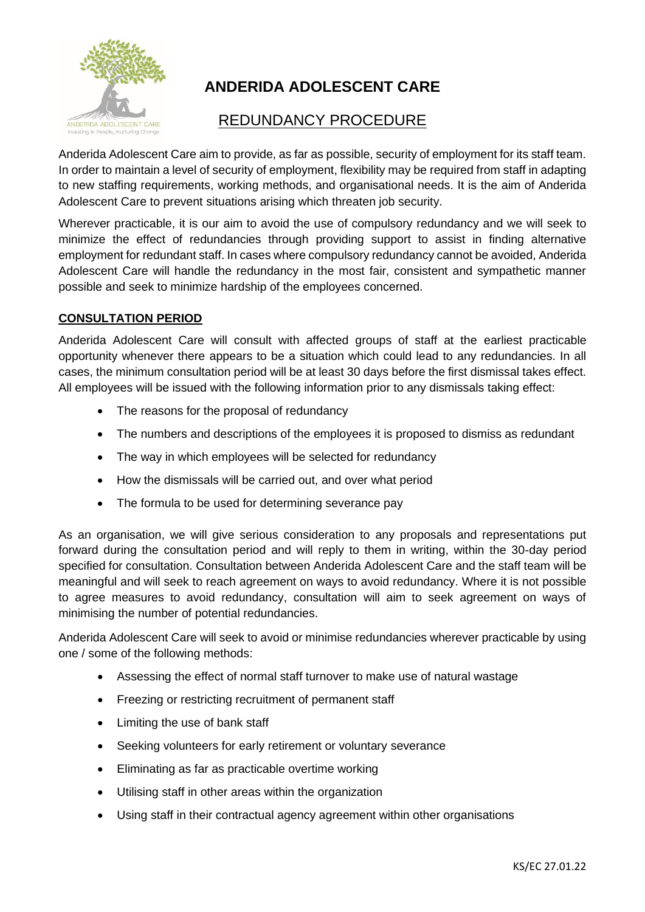

# **ANDERIDA ADOLESCENT CARE**

# REDUNDANCY PROCEDURE

Anderida Adolescent Care aim to provide, as far as possible, security of employment for its staff team. In order to maintain a level of security of employment, flexibility may be required from staff in adapting to new staffing requirements, working methods, and organisational needs. It is the aim of Anderida Adolescent Care to prevent situations arising which threaten job security.

Wherever practicable, it is our aim to avoid the use of compulsory redundancy and we will seek to minimize the effect of redundancies through providing support to assist in finding alternative employment for redundant staff. In cases where compulsory redundancy cannot be avoided, Anderida Adolescent Care will handle the redundancy in the most fair, consistent and sympathetic manner possible and seek to minimize hardship of the employees concerned.

## **CONSULTATION PERIOD**

Anderida Adolescent Care will consult with affected groups of staff at the earliest practicable opportunity whenever there appears to be a situation which could lead to any redundancies. In all cases, the minimum consultation period will be at least 30 days before the first dismissal takes effect. All employees will be issued with the following information prior to any dismissals taking effect:

- The reasons for the proposal of redundancy
- The numbers and descriptions of the employees it is proposed to dismiss as redundant
- The way in which employees will be selected for redundancy
- How the dismissals will be carried out, and over what period
- The formula to be used for determining severance pay

As an organisation, we will give serious consideration to any proposals and representations put forward during the consultation period and will reply to them in writing, within the 30-day period specified for consultation. Consultation between Anderida Adolescent Care and the staff team will be meaningful and will seek to reach agreement on ways to avoid redundancy. Where it is not possible to agree measures to avoid redundancy, consultation will aim to seek agreement on ways of minimising the number of potential redundancies.

Anderida Adolescent Care will seek to avoid or minimise redundancies wherever practicable by using one / some of the following methods:

- Assessing the effect of normal staff turnover to make use of natural wastage
- Freezing or restricting recruitment of permanent staff
- Limiting the use of bank staff
- Seeking volunteers for early retirement or voluntary severance
- Eliminating as far as practicable overtime working
- Utilising staff in other areas within the organization
- Using staff in their contractual agency agreement within other organisations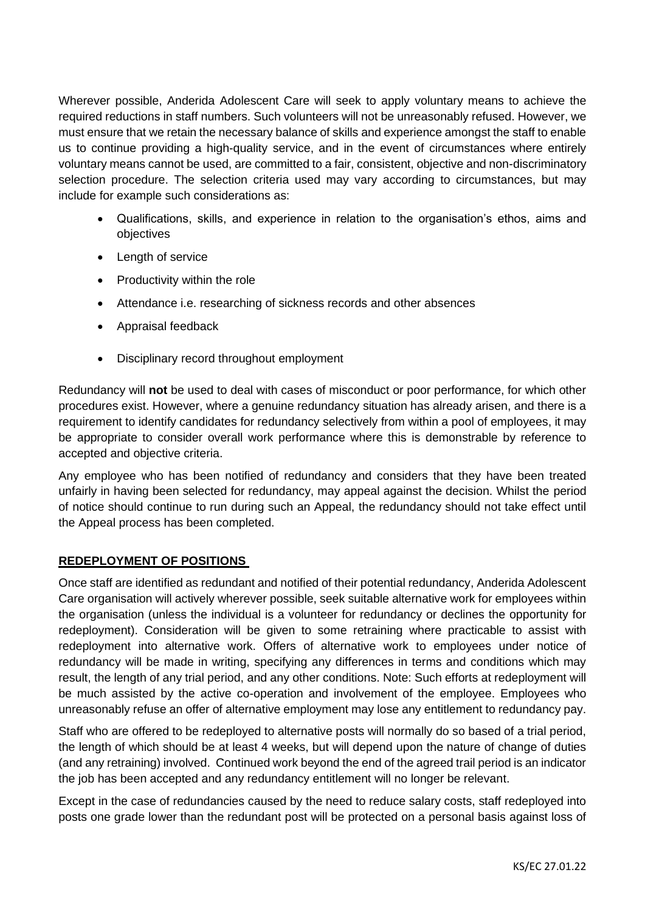Wherever possible, Anderida Adolescent Care will seek to apply voluntary means to achieve the required reductions in staff numbers. Such volunteers will not be unreasonably refused. However, we must ensure that we retain the necessary balance of skills and experience amongst the staff to enable us to continue providing a high-quality service, and in the event of circumstances where entirely voluntary means cannot be used, are committed to a fair, consistent, objective and non-discriminatory selection procedure. The selection criteria used may vary according to circumstances, but may include for example such considerations as:

- Qualifications, skills, and experience in relation to the organisation's ethos, aims and objectives
- Length of service
- Productivity within the role
- Attendance i.e. researching of sickness records and other absences
- Appraisal feedback
- Disciplinary record throughout employment

Redundancy will **not** be used to deal with cases of misconduct or poor performance, for which other procedures exist. However, where a genuine redundancy situation has already arisen, and there is a requirement to identify candidates for redundancy selectively from within a pool of employees, it may be appropriate to consider overall work performance where this is demonstrable by reference to accepted and objective criteria.

Any employee who has been notified of redundancy and considers that they have been treated unfairly in having been selected for redundancy, may appeal against the decision. Whilst the period of notice should continue to run during such an Appeal, the redundancy should not take effect until the Appeal process has been completed.

#### **REDEPLOYMENT OF POSITIONS**

Once staff are identified as redundant and notified of their potential redundancy, Anderida Adolescent Care organisation will actively wherever possible, seek suitable alternative work for employees within the organisation (unless the individual is a volunteer for redundancy or declines the opportunity for redeployment). Consideration will be given to some retraining where practicable to assist with redeployment into alternative work. Offers of alternative work to employees under notice of redundancy will be made in writing, specifying any differences in terms and conditions which may result, the length of any trial period, and any other conditions. Note: Such efforts at redeployment will be much assisted by the active co-operation and involvement of the employee. Employees who unreasonably refuse an offer of alternative employment may lose any entitlement to redundancy pay.

Staff who are offered to be redeployed to alternative posts will normally do so based of a trial period, the length of which should be at least 4 weeks, but will depend upon the nature of change of duties (and any retraining) involved. Continued work beyond the end of the agreed trail period is an indicator the job has been accepted and any redundancy entitlement will no longer be relevant.

Except in the case of redundancies caused by the need to reduce salary costs, staff redeployed into posts one grade lower than the redundant post will be protected on a personal basis against loss of